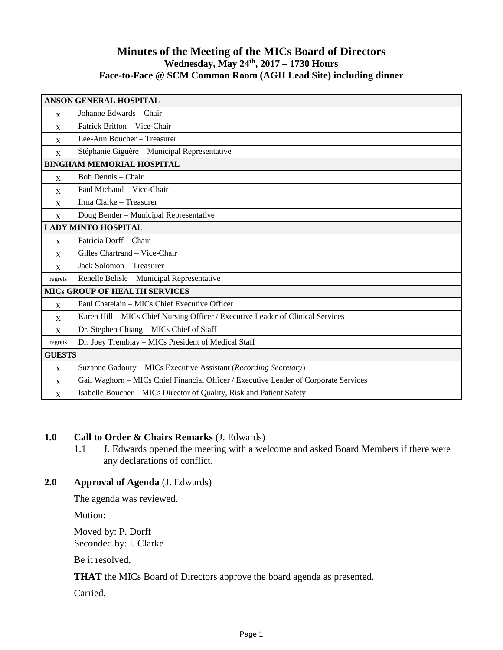# **Minutes of the Meeting of the MICs Board of Directors Wednesday, May 24 th , 2017 – 1730 Hours Face-to-Face @ SCM Common Room (AGH Lead Site) including dinner**

| <b>ANSON GENERAL HOSPITAL</b>        |                                                                                      |
|--------------------------------------|--------------------------------------------------------------------------------------|
| $\mathbf{x}$                         | Johanne Edwards - Chair                                                              |
| X                                    | Patrick Britton – Vice-Chair                                                         |
| X                                    | Lee-Ann Boucher - Treasurer                                                          |
| $\mathbf{x}$                         | Stéphanie Giguère - Municipal Representative                                         |
| <b>BINGHAM MEMORIAL HOSPITAL</b>     |                                                                                      |
| $\mathbf{x}$                         | Bob Dennis - Chair                                                                   |
| $\mathbf{X}$                         | Paul Michaud - Vice-Chair                                                            |
| X                                    | Irma Clarke - Treasurer                                                              |
| X                                    | Doug Bender - Municipal Representative                                               |
| <b>LADY MINTO HOSPITAL</b>           |                                                                                      |
| $\mathbf{X}$                         | Patricia Dorff - Chair                                                               |
| X                                    | Gilles Chartrand - Vice-Chair                                                        |
| $\mathbf{x}$                         | Jack Solomon - Treasurer                                                             |
| regrets                              | Renelle Belisle - Municipal Representative                                           |
| <b>MICS GROUP OF HEALTH SERVICES</b> |                                                                                      |
| $\mathbf{x}$                         | Paul Chatelain - MICs Chief Executive Officer                                        |
| X                                    | Karen Hill - MICs Chief Nursing Officer / Executive Leader of Clinical Services      |
| $\mathbf{X}$                         | Dr. Stephen Chiang - MICs Chief of Staff                                             |
| regrets                              | Dr. Joey Tremblay - MICs President of Medical Staff                                  |
| <b>GUESTS</b>                        |                                                                                      |
| $\mathbf{X}$                         | Suzanne Gadoury – MICs Executive Assistant (Recording Secretary)                     |
| $\mathbf{x}$                         | Gail Waghorn - MICs Chief Financial Officer / Executive Leader of Corporate Services |
| $\mathbf{X}$                         | Isabelle Boucher - MICs Director of Quality, Risk and Patient Safety                 |

# **1.0 Call to Order & Chairs Remarks** (J. Edwards)

1.1 J. Edwards opened the meeting with a welcome and asked Board Members if there were any declarations of conflict.

### **2.0 Approval of Agenda** (J. Edwards)

The agenda was reviewed.

Motion:

Moved by: P. Dorff Seconded by: I. Clarke

Be it resolved,

**THAT** the MICs Board of Directors approve the board agenda as presented.

Carried.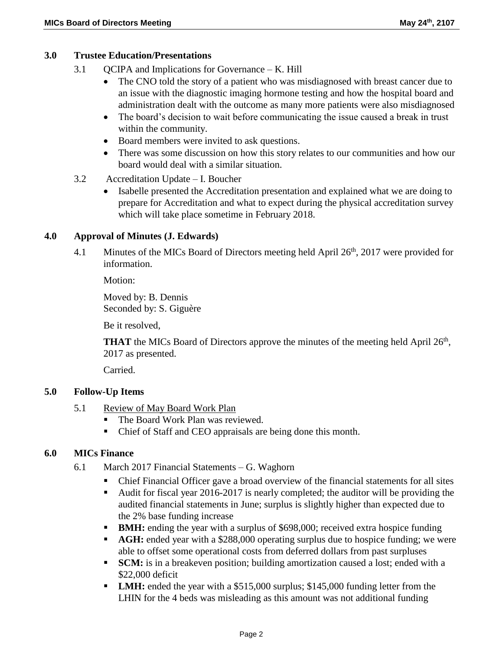### **3.0 Trustee Education/Presentations**

- 3.1 QCIPA and Implications for Governance K. Hill
	- The CNO told the story of a patient who was misdiagnosed with breast cancer due to an issue with the diagnostic imaging hormone testing and how the hospital board and administration dealt with the outcome as many more patients were also misdiagnosed
	- The board's decision to wait before communicating the issue caused a break in trust within the community.
	- Board members were invited to ask questions.
	- There was some discussion on how this story relates to our communities and how our board would deal with a similar situation.
- 3.2 Accreditation Update I. Boucher
	- Isabelle presented the Accreditation presentation and explained what we are doing to prepare for Accreditation and what to expect during the physical accreditation survey which will take place sometime in February 2018.

#### **4.0 Approval of Minutes (J. Edwards)**

4.1 Minutes of the MICs Board of Directors meeting held April 26<sup>th</sup>, 2017 were provided for information.

Motion:

Moved by: B. Dennis Seconded by: S. Giguère

Be it resolved,

**THAT** the MICs Board of Directors approve the minutes of the meeting held April 26<sup>th</sup>, 2017 as presented.

Carried.

### **5.0 Follow-Up Items**

- 5.1 Review of May Board Work Plan
	- The Board Work Plan was reviewed.
	- Chief of Staff and CEO appraisals are being done this month.

#### **6.0 MICs Finance**

- 6.1 March 2017 Financial Statements G. Waghorn
	- Chief Financial Officer gave a broad overview of the financial statements for all sites
	- Audit for fiscal year 2016-2017 is nearly completed; the auditor will be providing the audited financial statements in June; surplus is slightly higher than expected due to the 2% base funding increase
	- **BMH:** ending the year with a surplus of \$698,000; received extra hospice funding
	- **AGH:** ended year with a \$288,000 operating surplus due to hospice funding; we were able to offset some operational costs from deferred dollars from past surpluses
	- **SCM:** is in a breakeven position; building amortization caused a lost; ended with a \$22,000 deficit
	- **LMH:** ended the year with a \$515,000 surplus; \$145,000 funding letter from the LHIN for the 4 beds was misleading as this amount was not additional funding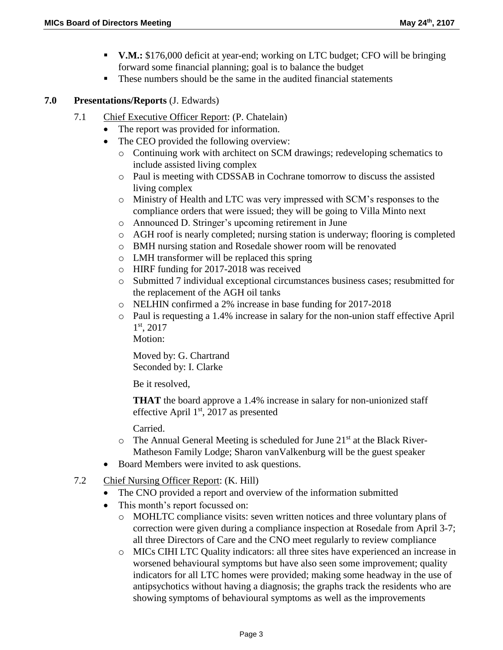- **V.M.:** \$176,000 deficit at year-end; working on LTC budget; CFO will be bringing forward some financial planning; goal is to balance the budget
- These numbers should be the same in the audited financial statements

**7.0 Presentations/Reports** (J. Edwards)

- 7.1 Chief Executive Officer Report: (P. Chatelain)
	- The report was provided for information.
	- The CEO provided the following overview:
		- o Continuing work with architect on SCM drawings; redeveloping schematics to include assisted living complex
		- o Paul is meeting with CDSSAB in Cochrane tomorrow to discuss the assisted living complex
		- o Ministry of Health and LTC was very impressed with SCM's responses to the compliance orders that were issued; they will be going to Villa Minto next
		- o Announced D. Stringer's upcoming retirement in June
		- o AGH roof is nearly completed; nursing station is underway; flooring is completed
		- o BMH nursing station and Rosedale shower room will be renovated
		- o LMH transformer will be replaced this spring
		- o HIRF funding for 2017-2018 was received
		- o Submitted 7 individual exceptional circumstances business cases; resubmitted for the replacement of the AGH oil tanks
		- o NELHIN confirmed a 2% increase in base funding for 2017-2018
		- o Paul is requesting a 1.4% increase in salary for the non-union staff effective April 1 st, 2017

Motion:

Moved by: G. Chartrand Seconded by: I. Clarke

Be it resolved,

**THAT** the board approve a 1.4% increase in salary for non-unionized staff effective April  $1<sup>st</sup>$ , 2017 as presented

Carried.

- $\circ$  The Annual General Meeting is scheduled for June 21<sup>st</sup> at the Black River-Matheson Family Lodge; Sharon vanValkenburg will be the guest speaker
- Board Members were invited to ask questions.
- 7.2 Chief Nursing Officer Report: (K. Hill)
	- The CNO provided a report and overview of the information submitted
	- This month's report focussed on:
		- o MOHLTC compliance visits: seven written notices and three voluntary plans of correction were given during a compliance inspection at Rosedale from April 3-7; all three Directors of Care and the CNO meet regularly to review compliance
		- o MICs CIHI LTC Quality indicators: all three sites have experienced an increase in worsened behavioural symptoms but have also seen some improvement; quality indicators for all LTC homes were provided; making some headway in the use of antipsychotics without having a diagnosis; the graphs track the residents who are showing symptoms of behavioural symptoms as well as the improvements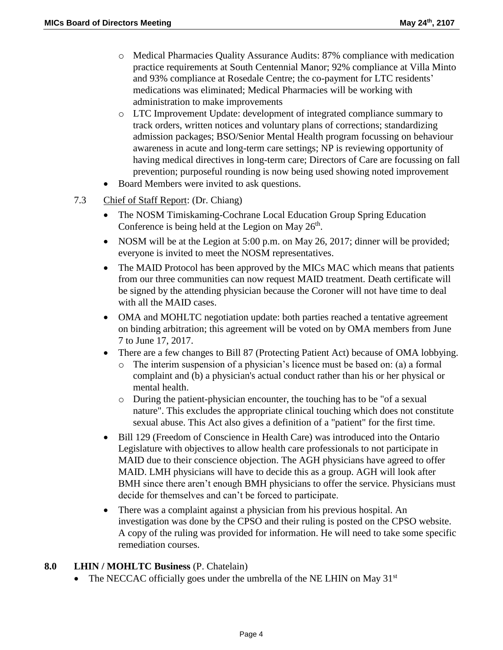- o Medical Pharmacies Quality Assurance Audits: 87% compliance with medication practice requirements at South Centennial Manor; 92% compliance at Villa Minto and 93% compliance at Rosedale Centre; the co-payment for LTC residents' medications was eliminated; Medical Pharmacies will be working with administration to make improvements
- o LTC Improvement Update: development of integrated compliance summary to track orders, written notices and voluntary plans of corrections; standardizing admission packages; BSO/Senior Mental Health program focussing on behaviour awareness in acute and long-term care settings; NP is reviewing opportunity of having medical directives in long-term care; Directors of Care are focussing on fall prevention; purposeful rounding is now being used showing noted improvement
- Board Members were invited to ask questions.
- 7.3 Chief of Staff Report: (Dr. Chiang)
	- The NOSM Timiskaming-Cochrane Local Education Group Spring Education Conference is being held at the Legion on May  $26<sup>th</sup>$ .
	- NOSM will be at the Legion at  $5:00$  p.m. on May 26, 2017; dinner will be provided; everyone is invited to meet the NOSM representatives.
	- The MAID Protocol has been approved by the MICs MAC which means that patients from our three communities can now request MAID treatment. Death certificate will be signed by the attending physician because the Coroner will not have time to deal with all the MAID cases.
	- OMA and MOHLTC negotiation update: both parties reached a tentative agreement on binding arbitration; this agreement will be voted on by OMA members from June 7 to June 17, 2017.
	- There are a few changes to Bill 87 (Protecting Patient Act) because of OMA lobbying.
		- o The interim suspension of a physician's licence must be based on: (a) a formal complaint and (b) a physician's actual conduct rather than his or her physical or mental health.
		- o During the patient-physician encounter, the touching has to be "of a sexual nature". This excludes the appropriate clinical touching which does not constitute sexual abuse. This Act also gives a definition of a "patient" for the first time.
	- Bill 129 (Freedom of Conscience in Health Care) was introduced into the Ontario Legislature with objectives to allow health care professionals to not participate in MAID due to their conscience objection. The AGH physicians have agreed to offer MAID. LMH physicians will have to decide this as a group. AGH will look after BMH since there aren't enough BMH physicians to offer the service. Physicians must decide for themselves and can't be forced to participate.
	- There was a complaint against a physician from his previous hospital. An investigation was done by the CPSO and their ruling is posted on the CPSO website. A copy of the ruling was provided for information. He will need to take some specific remediation courses.

### **8.0 LHIN / MOHLTC Business** (P. Chatelain)

• The NECCAC officially goes under the umbrella of the NE LHIN on May  $31<sup>st</sup>$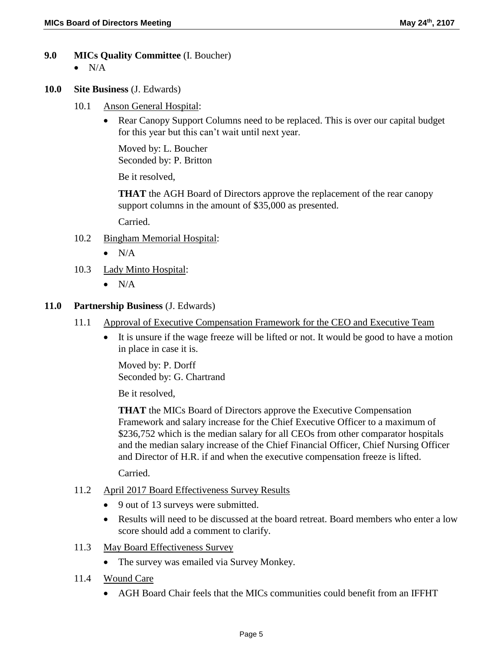- **9.0 MICs Quality Committee** (I. Boucher)
	- $\bullet$  N/A
- **10.0 Site Business** (J. Edwards)
	- 10.1 Anson General Hospital:
		- Rear Canopy Support Columns need to be replaced. This is over our capital budget for this year but this can't wait until next year.

Moved by: L. Boucher Seconded by: P. Britton

Be it resolved,

**THAT** the AGH Board of Directors approve the replacement of the rear canopy support columns in the amount of \$35,000 as presented.

Carried.

- 10.2 Bingham Memorial Hospital:
	- $\bullet$  N/A
- 10.3 Lady Minto Hospital:
	- $\bullet$  N/A

### **11.0 Partnership Business** (J. Edwards)

- 11.1 Approval of Executive Compensation Framework for the CEO and Executive Team
	- It is unsure if the wage freeze will be lifted or not. It would be good to have a motion in place in case it is.

Moved by: P. Dorff Seconded by: G. Chartrand

Be it resolved,

**THAT** the MICs Board of Directors approve the Executive Compensation Framework and salary increase for the Chief Executive Officer to a maximum of \$236,752 which is the median salary for all CEOs from other comparator hospitals and the median salary increase of the Chief Financial Officer, Chief Nursing Officer and Director of H.R. if and when the executive compensation freeze is lifted.

Carried.

- 11.2 April 2017 Board Effectiveness Survey Results
	- 9 out of 13 surveys were submitted.
	- Results will need to be discussed at the board retreat. Board members who enter a low score should add a comment to clarify.
- 11.3 May Board Effectiveness Survey
	- The survey was emailed via Survey Monkey.
- 11.4 Wound Care
	- AGH Board Chair feels that the MICs communities could benefit from an IFFHT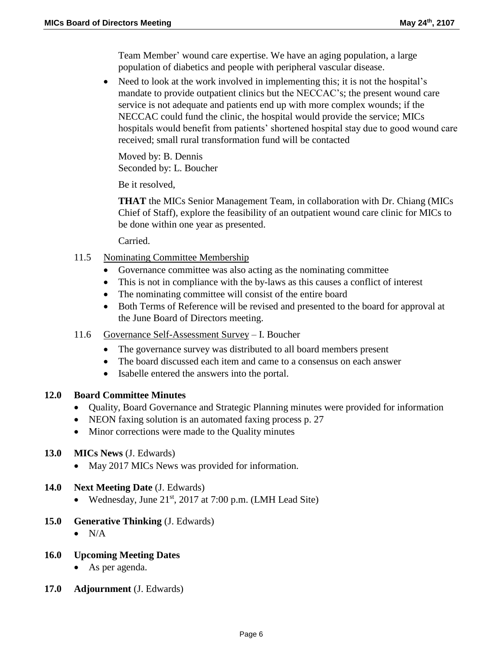Team Member' wound care expertise. We have an aging population, a large population of diabetics and people with peripheral vascular disease.

• Need to look at the work involved in implementing this; it is not the hospital's mandate to provide outpatient clinics but the NECCAC's; the present wound care service is not adequate and patients end up with more complex wounds; if the NECCAC could fund the clinic, the hospital would provide the service; MICs hospitals would benefit from patients' shortened hospital stay due to good wound care received; small rural transformation fund will be contacted

Moved by: B. Dennis Seconded by: L. Boucher

Be it resolved,

**THAT** the MICs Senior Management Team, in collaboration with Dr. Chiang (MICs Chief of Staff), explore the feasibility of an outpatient wound care clinic for MICs to be done within one year as presented.

Carried.

- 11.5 Nominating Committee Membership
	- Governance committee was also acting as the nominating committee
	- This is not in compliance with the by-laws as this causes a conflict of interest
	- The nominating committee will consist of the entire board
	- Both Terms of Reference will be revised and presented to the board for approval at the June Board of Directors meeting.
- 11.6 Governance Self-Assessment Survey I. Boucher
	- The governance survey was distributed to all board members present
	- The board discussed each item and came to a consensus on each answer
	- Isabelle entered the answers into the portal.

### **12.0 Board Committee Minutes**

- Quality, Board Governance and Strategic Planning minutes were provided for information
- NEON faxing solution is an automated faxing process p. 27
- Minor corrections were made to the Quality minutes

# **13.0 MICs News** (J. Edwards)

• May 2017 MICs News was provided for information.

# **14.0 Next Meeting Date** (J. Edwards)

- Wednesday, June  $21^{st}$ , 2017 at 7:00 p.m. (LMH Lead Site)
- **15.0 Generative Thinking** (J. Edwards)
	- $\bullet$  N/A

# **16.0 Upcoming Meeting Dates**

- As per agenda.
- **17.0 Adjournment** (J. Edwards)